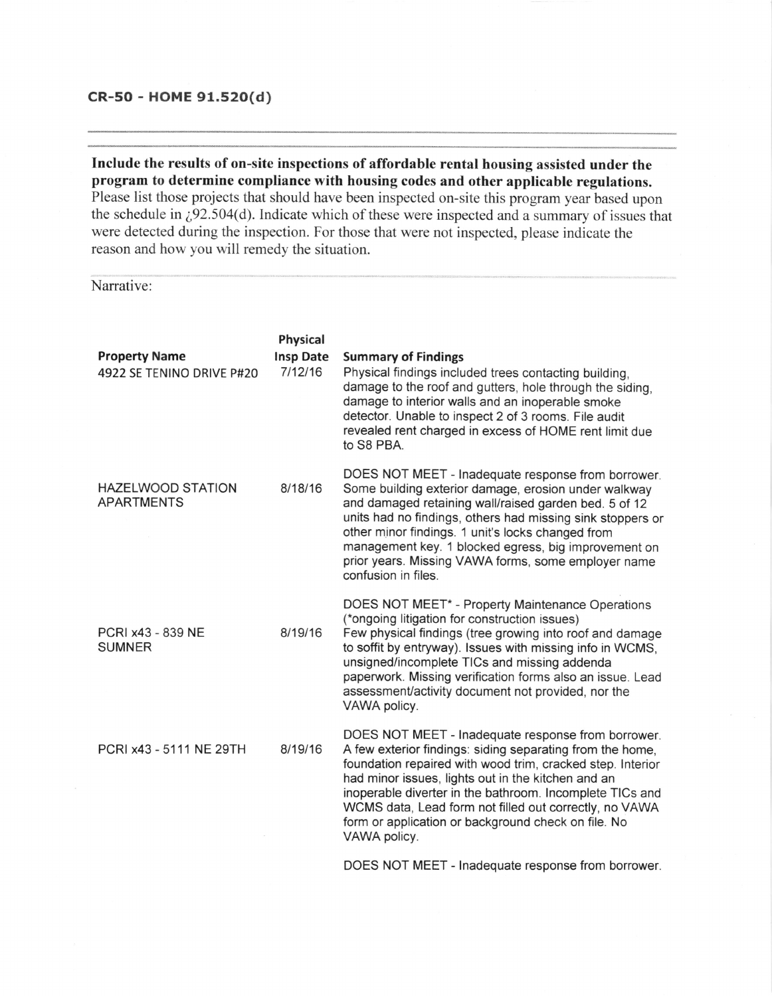## CR-50 - HOME 91.520(d)

Include the results of on-site inspections of affordable rental housing assisted under the program to determine compliance with housing codes and other applicable regulations. Please list those projects that should have been inspected on-site this program year based upon the schedule in  $\zeta$ 92.504(d). Indicate which of these were inspected and a summary of issues that were detected during the inspection. For those that were not inspected, please indicate the reason and how you will remedy the situation.

## Narrative:

| <b>Property Name</b><br>4922 SE TENINO DRIVE P#20 | Physical<br><b>Insp Date</b><br>7/12/16 | <b>Summary of Findings</b><br>Physical findings included trees contacting building,<br>damage to the roof and gutters, hole through the siding,<br>damage to interior walls and an inoperable smoke<br>detector. Unable to inspect 2 of 3 rooms. File audit<br>revealed rent charged in excess of HOME rent limit due<br>to S8 PBA.                                                                                              |
|---------------------------------------------------|-----------------------------------------|----------------------------------------------------------------------------------------------------------------------------------------------------------------------------------------------------------------------------------------------------------------------------------------------------------------------------------------------------------------------------------------------------------------------------------|
| <b>HAZELWOOD STATION</b><br><b>APARTMENTS</b>     | 8/18/16                                 | DOES NOT MEET - Inadequate response from borrower.<br>Some building exterior damage, erosion under walkway<br>and damaged retaining wall/raised garden bed. 5 of 12<br>units had no findings, others had missing sink stoppers or<br>other minor findings. 1 unit's locks changed from<br>management key. 1 blocked egress, big improvement on<br>prior years. Missing VAWA forms, some employer name<br>confusion in files.     |
| PCRI x43 - 839 NE<br><b>SUMNER</b>                | 8/19/16                                 | DOES NOT MEET* - Property Maintenance Operations<br>(*ongoing litigation for construction issues)<br>Few physical findings (tree growing into roof and damage<br>to soffit by entryway). Issues with missing info in WCMS,<br>unsigned/incomplete TICs and missing addenda<br>paperwork. Missing verification forms also an issue. Lead<br>assessment/activity document not provided, nor the<br>VAWA policy.                    |
| PCRI x43 - 5111 NE 29TH                           | 8/19/16                                 | DOES NOT MEET - Inadequate response from borrower.<br>A few exterior findings: siding separating from the home,<br>foundation repaired with wood trim, cracked step. Interior<br>had minor issues, lights out in the kitchen and an<br>inoperable diverter in the bathroom. Incomplete TICs and<br>WCMS data, Lead form not filled out correctly, no VAWA<br>form or application or background check on file. No<br>VAWA policy. |
|                                                   |                                         | DOES NOT MEET - Inadequate response from borrower.                                                                                                                                                                                                                                                                                                                                                                               |